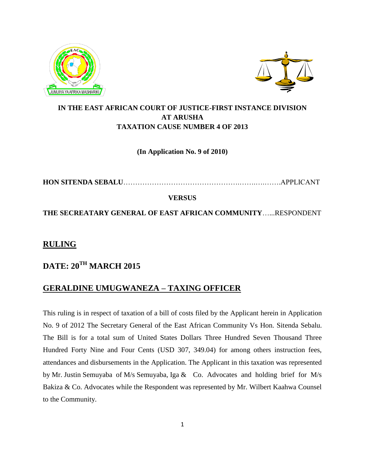



### **IN THE EAST AFRICAN COURT OF JUSTICE-FIRST INSTANCE DIVISION AT ARUSHA TAXATION CAUSE NUMBER 4 OF 2013**

#### **(In Application No. 9 of 2010)**

**HON SITENDA SEBALU**………………………………………….…….….…….APPLICANT

#### **VERSUS**

**THE SECREATARY GENERAL OF EAST AFRICAN COMMUNITY**…...RESPONDENT

## **RULING**

# **DATE: 20TH MARCH 2015**

## **GERALDINE UMUGWANEZA – TAXING OFFICER**

This ruling is in respect of taxation of a bill of costs filed by the Applicant herein in Application No. 9 of 2012 The Secretary General of the East African Community Vs Hon. Sitenda Sebalu. The Bill is for a total sum of United States Dollars Three Hundred Seven Thousand Three Hundred Forty Nine and Four Cents (USD 307, 349.04) for among others instruction fees, attendances and disbursements in the Application. The Applicant in this taxation was represented by Mr. Justin Semuyaba of M/s Semuyaba, Iga & Co. Advocates and holding brief for M/s Bakiza & Co. Advocates while the Respondent was represented by Mr. Wilbert Kaahwa Counsel to the Community.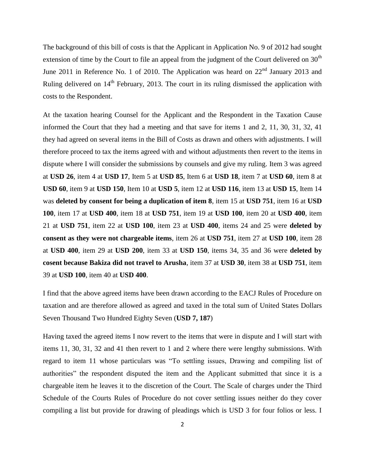The background of this bill of costs is that the Applicant in Application No. 9 of 2012 had sought extension of time by the Court to file an appeal from the judgment of the Court delivered on  $30<sup>th</sup>$ June 2011 in Reference No. 1 of 2010. The Application was heard on  $22<sup>nd</sup>$  January 2013 and Ruling delivered on 14<sup>th</sup> February, 2013. The court in its ruling dismissed the application with costs to the Respondent.

At the taxation hearing Counsel for the Applicant and the Respondent in the Taxation Cause informed the Court that they had a meeting and that save for items 1 and 2, 11, 30, 31, 32, 41 they had agreed on several items in the Bill of Costs as drawn and others with adjustments. I will therefore proceed to tax the items agreed with and without adjustments then revert to the items in dispute where I will consider the submissions by counsels and give my ruling. Item 3 was agreed at **USD 26**, item 4 at **USD 17**, Item 5 at **USD 85**, Item 6 at **USD 18**, item 7 at **USD 60**, item 8 at **USD 60**, item 9 at **USD 150**, Item 10 at **USD 5**, item 12 at **USD 116**, item 13 at **USD 15**, Item 14 was **deleted by consent for being a duplication of item 8**, item 15 at **USD 751**, item 16 at **USD 100**, item 17 at **USD 400**, item 18 at **USD 751**, item 19 at **USD 100**, item 20 at **USD 400**, item 21 at **USD 751**, item 22 at **USD 100**, item 23 at **USD 400**, items 24 and 25 were **deleted by consent as they were not chargeable items**, item 26 at **USD 751**, item 27 at **USD 100**, item 28 at **USD 400**, item 29 at **USD 200**, item 33 at **USD 150**, items 34, 35 and 36 were **deleted by cosent because Bakiza did not travel to Arusha**, item 37 at **USD 30**, item 38 at **USD 751**, item 39 at **USD 100**, item 40 at **USD 400**.

I find that the above agreed items have been drawn according to the EACJ Rules of Procedure on taxation and are therefore allowed as agreed and taxed in the total sum of United States Dollars Seven Thousand Two Hundred Eighty Seven (**USD 7, 187**)

Having taxed the agreed items I now revert to the items that were in dispute and I will start with items 11, 30, 31, 32 and 41 then revert to 1 and 2 where there were lengthy submissions. With regard to item 11 whose particulars was "To settling issues, Drawing and compiling list of authorities" the respondent disputed the item and the Applicant submitted that since it is a chargeable item he leaves it to the discretion of the Court. The Scale of charges under the Third Schedule of the Courts Rules of Procedure do not cover settling issues neither do they cover compiling a list but provide for drawing of pleadings which is USD 3 for four folios or less. I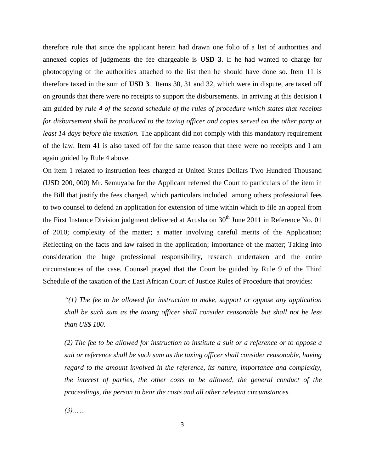therefore rule that since the applicant herein had drawn one folio of a list of authorities and annexed copies of judgments the fee chargeable is **USD 3**. If he had wanted to charge for photocopying of the authorities attached to the list then he should have done so. Item 11 is therefore taxed in the sum of **USD 3**. Items 30, 31 and 32, which were in dispute, are taxed off on grounds that there were no receipts to support the disbursements. In arriving at this decision I am guided by *rule 4 of the second schedule of the rules of procedure which states that receipts for disbursement shall be produced to the taxing officer and copies served on the other party at least 14 days before the taxation.* The applicant did not comply with this mandatory requirement of the law. Item 41 is also taxed off for the same reason that there were no receipts and I am again guided by Rule 4 above.

On item 1 related to instruction fees charged at United States Dollars Two Hundred Thousand (USD 200, 000) Mr. Semuyaba for the Applicant referred the Court to particulars of the item in the Bill that justify the fees charged, which particulars included among others professional fees to two counsel to defend an application for extension of time within which to file an appeal from the First Instance Division judgment delivered at Arusha on  $30<sup>th</sup>$  June 2011 in Reference No. 01 of 2010; complexity of the matter; a matter involving careful merits of the Application; Reflecting on the facts and law raised in the application; importance of the matter; Taking into consideration the huge professional responsibility, research undertaken and the entire circumstances of the case. Counsel prayed that the Court be guided by Rule 9 of the Third Schedule of the taxation of the East African Court of Justice Rules of Procedure that provides:

*"(1) The fee to be allowed for instruction to make, support or oppose any application shall be such sum as the taxing officer shall consider reasonable but shall not be less than US\$ 100.*

*(2) The fee to be allowed for instruction to institute a suit or a reference or to oppose a suit or reference shall be such sum as the taxing officer shall consider reasonable, having regard to the amount involved in the reference, its nature, importance and complexity,*  the interest of parties, the other costs to be allowed, the general conduct of the *proceedings, the person to bear the costs and all other relevant circumstances.*

*(3)……*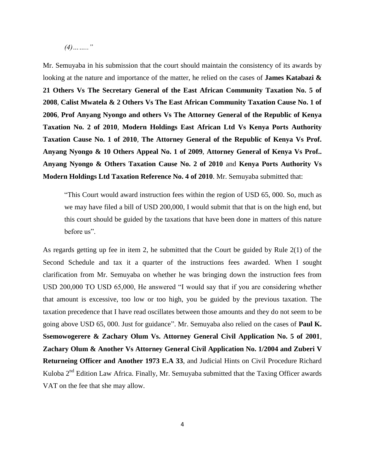*(4)…….."*

Mr. Semuyaba in his submission that the court should maintain the consistency of its awards by looking at the nature and importance of the matter, he relied on the cases of **James Katabazi & 21 Others Vs The Secretary General of the East African Community Taxation No. 5 of 2008**, **Calist Mwatela & 2 Others Vs The East African Community Taxation Cause No. 1 of 2006**, **Prof Anyang Nyongo and others Vs The Attorney General of the Republic of Kenya Taxation No. 2 of 2010**, **Modern Holdings East African Ltd Vs Kenya Ports Authority Taxation Cause No. 1 of 2010**, **The Attorney General of the Republic of Kenya Vs Prof. Anyang Nyongo & 10 Others Appeal No. 1 of 2009**, **Attorney General of Kenya Vs Prof.. Anyang Nyongo & Others Taxation Cause No. 2 of 2010** and **Kenya Ports Authority Vs Modern Holdings Ltd Taxation Reference No. 4 of 2010**. Mr. Semuyaba submitted that:

"This Court would award instruction fees within the region of USD 65, 000. So, much as we may have filed a bill of USD 200,000, I would submit that that is on the high end, but this court should be guided by the taxations that have been done in matters of this nature before us".

As regards getting up fee in item 2, he submitted that the Court be guided by Rule 2(1) of the Second Schedule and tax it a quarter of the instructions fees awarded. When I sought clarification from Mr. Semuyaba on whether he was bringing down the instruction fees from USD 200,000 TO USD 65,000, He answered "I would say that if you are considering whether that amount is excessive, too low or too high, you be guided by the previous taxation. The taxation precedence that I have read oscillates between those amounts and they do not seem to be going above USD 65, 000. Just for guidance". Mr. Semuyaba also relied on the cases of **Paul K. Ssemowogerere & Zachary Olum Vs. Attorney General Civil Application No. 5 of 2001**, **Zachary Olum & Another Vs Attorney General Civil Application No. 1/2004 and Zuberi V Returneing Officer and Another 1973 E.A 33**, and Judicial Hints on Civil Procedure Richard Kuloba 2<sup>nd</sup> Edition Law Africa. Finally, Mr. Semuyaba submitted that the Taxing Officer awards VAT on the fee that she may allow.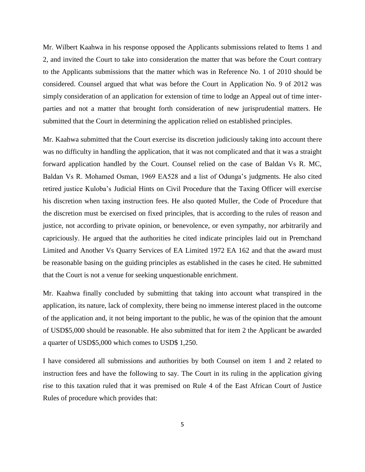Mr. Wilbert Kaahwa in his response opposed the Applicants submissions related to Items 1 and 2, and invited the Court to take into consideration the matter that was before the Court contrary to the Applicants submissions that the matter which was in Reference No. 1 of 2010 should be considered. Counsel argued that what was before the Court in Application No. 9 of 2012 was simply consideration of an application for extension of time to lodge an Appeal out of time interparties and not a matter that brought forth consideration of new jurisprudential matters. He submitted that the Court in determining the application relied on established principles.

Mr. Kaahwa submitted that the Court exercise its discretion judiciously taking into account there was no difficulty in handling the application, that it was not complicated and that it was a straight forward application handled by the Court. Counsel relied on the case of Baldan Vs R. MC, Baldan Vs R. Mohamed Osman, 1969 EA528 and a list of Odunga's judgments. He also cited retired justice Kuloba's Judicial Hints on Civil Procedure that the Taxing Officer will exercise his discretion when taxing instruction fees. He also quoted Muller, the Code of Procedure that the discretion must be exercised on fixed principles, that is according to the rules of reason and justice, not according to private opinion, or benevolence, or even sympathy, nor arbitrarily and capriciously. He argued that the authorities he cited indicate principles laid out in Premchand Limited and Another Vs Quarry Services of EA Limited 1972 EA 162 and that the award must be reasonable basing on the guiding principles as established in the cases he cited. He submitted that the Court is not a venue for seeking unquestionable enrichment.

Mr. Kaahwa finally concluded by submitting that taking into account what transpired in the application, its nature, lack of complexity, there being no immense interest placed in the outcome of the application and, it not being important to the public, he was of the opinion that the amount of USD\$5,000 should be reasonable. He also submitted that for item 2 the Applicant be awarded a quarter of USD\$5,000 which comes to USD\$ 1,250.

I have considered all submissions and authorities by both Counsel on item 1 and 2 related to instruction fees and have the following to say. The Court in its ruling in the application giving rise to this taxation ruled that it was premised on Rule 4 of the East African Court of Justice Rules of procedure which provides that: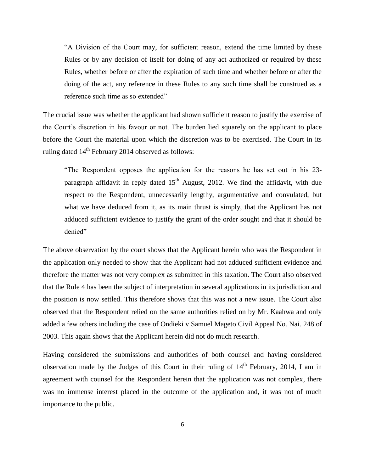"A Division of the Court may, for sufficient reason, extend the time limited by these Rules or by any decision of itself for doing of any act authorized or required by these Rules, whether before or after the expiration of such time and whether before or after the doing of the act, any reference in these Rules to any such time shall be construed as a reference such time as so extended"

The crucial issue was whether the applicant had shown sufficient reason to justify the exercise of the Court's discretion in his favour or not. The burden lied squarely on the applicant to place before the Court the material upon which the discretion was to be exercised. The Court in its ruling dated 14<sup>th</sup> February 2014 observed as follows:

"The Respondent opposes the application for the reasons he has set out in his 23 paragraph affidavit in reply dated  $15<sup>th</sup>$  August, 2012. We find the affidavit, with due respect to the Respondent, unnecessarily lengthy, argumentative and convulated, but what we have deduced from it, as its main thrust is simply, that the Applicant has not adduced sufficient evidence to justify the grant of the order sought and that it should be denied"

The above observation by the court shows that the Applicant herein who was the Respondent in the application only needed to show that the Applicant had not adduced sufficient evidence and therefore the matter was not very complex as submitted in this taxation. The Court also observed that the Rule 4 has been the subject of interpretation in several applications in its jurisdiction and the position is now settled. This therefore shows that this was not a new issue. The Court also observed that the Respondent relied on the same authorities relied on by Mr. Kaahwa and only added a few others including the case of Ondieki v Samuel Mageto Civil Appeal No. Nai. 248 of 2003. This again shows that the Applicant herein did not do much research.

Having considered the submissions and authorities of both counsel and having considered observation made by the Judges of this Court in their ruling of  $14<sup>th</sup>$  February, 2014, I am in agreement with counsel for the Respondent herein that the application was not complex, there was no immense interest placed in the outcome of the application and, it was not of much importance to the public.